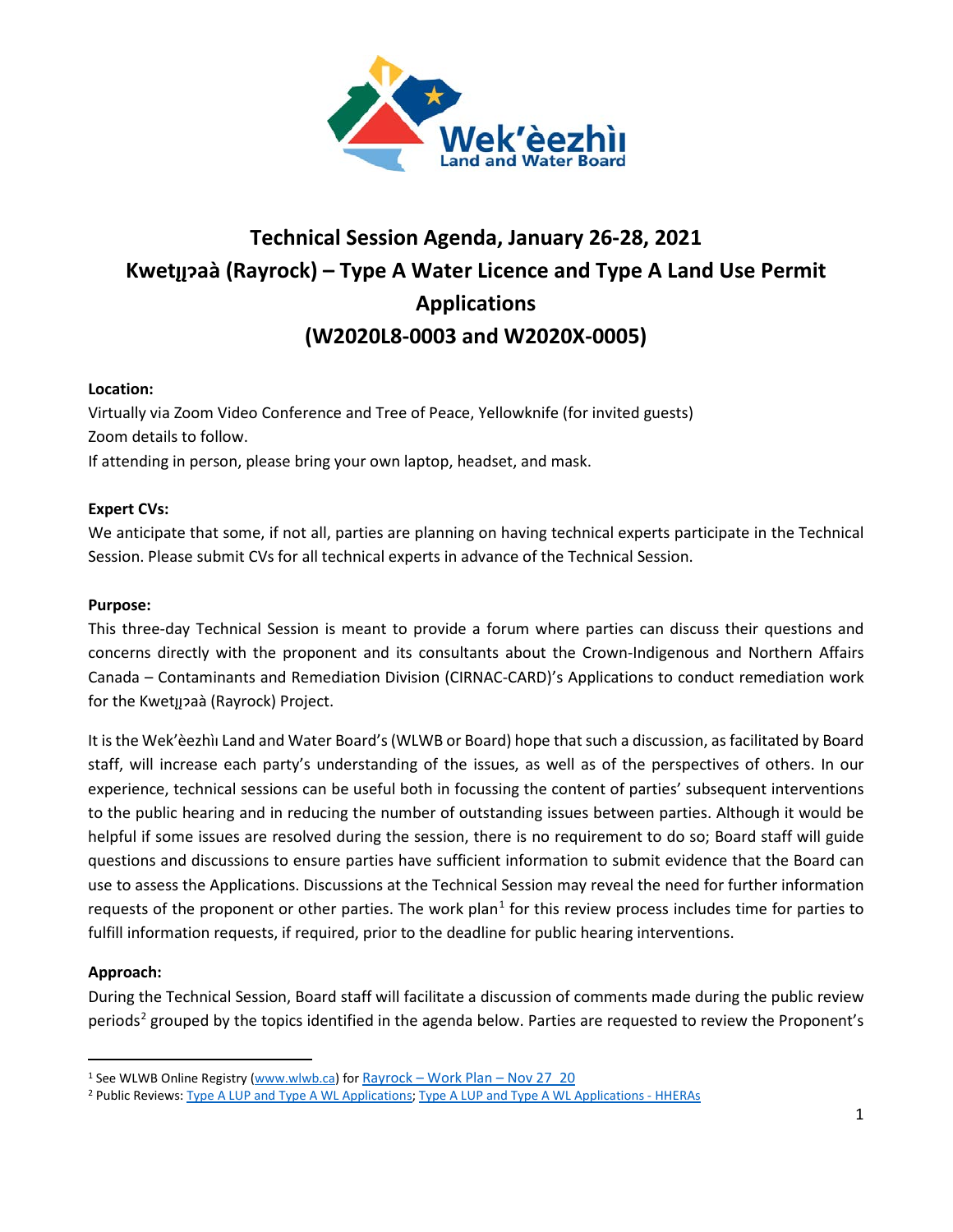

# **Technical Session Agenda, January 26-28, 2021 Kwetı̨ı̨ɂaà (Rayrock) – Type A Water Licence and Type A Land Use Permit Applications (W2020L8-0003 and W2020X-0005)**

## **Location:**

Virtually via Zoom Video Conference and Tree of Peace, Yellowknife (for invited guests) Zoom details to follow.

If attending in person, please bring your own laptop, headset, and mask.

## **Expert CVs:**

We anticipate that some, if not all, parties are planning on having technical experts participate in the Technical Session. Please submit CVs for all technical experts in advance of the Technical Session.

## **Purpose:**

This three-day Technical Session is meant to provide a forum where parties can discuss their questions and concerns directly with the proponent and its consultants about the Crown-Indigenous and Northern Affairs Canada – Contaminants and Remediation Division (CIRNAC-CARD)'s Applications to conduct remediation work for the Kwetyzaà (Rayrock) Project.

It is the Wek'èezhìı Land and Water Board's(WLWB or Board) hope that such a discussion, as facilitated by Board staff, will increase each party's understanding of the issues, as well as of the perspectives of others. In our experience, technical sessions can be useful both in focussing the content of parties' subsequent interventions to the public hearing and in reducing the number of outstanding issues between parties. Although it would be helpful if some issues are resolved during the session, there is no requirement to do so; Board staff will guide questions and discussions to ensure parties have sufficient information to submit evidence that the Board can use to assess the Applications. Discussions at the Technical Session may reveal the need for further information requests of the proponent or other parties. The work plan<sup>[1](#page-0-0)</sup> for this review process includes time for parties to fulfill information requests, if required, prior to the deadline for public hearing interventions.

## **Approach:**

During the Technical Session, Board staff will facilitate a discussion of comments made during the public review periods<sup>[2](#page-0-1)</sup> grouped by the topics identified in the agenda below. Parties are requested to review the Proponent's

<span id="page-0-0"></span><sup>1</sup> See WLWB Online Registry [\(www.wlwb.ca\)](http://www.wlwb.ca/) for Rayrock – [Work Plan –](http://registry.mvlwb.ca/Documents/W2020L8-0003/Rayrock%20-%20Work%20Plan%20-%20Nov%2027_20.pdf) Nov 27\_20

<span id="page-0-1"></span><sup>2</sup> Public Reviews: [Type A LUP and Type A WL Applications;](http://lwbors.yk.com/LWB_IMS/ReviewComment.aspx?appid=13077) [Type A LUP and Type A WL Applications -](http://lwbors.yk.com/LWB_IMS/ReviewComment.aspx?appid=13120) HHERAs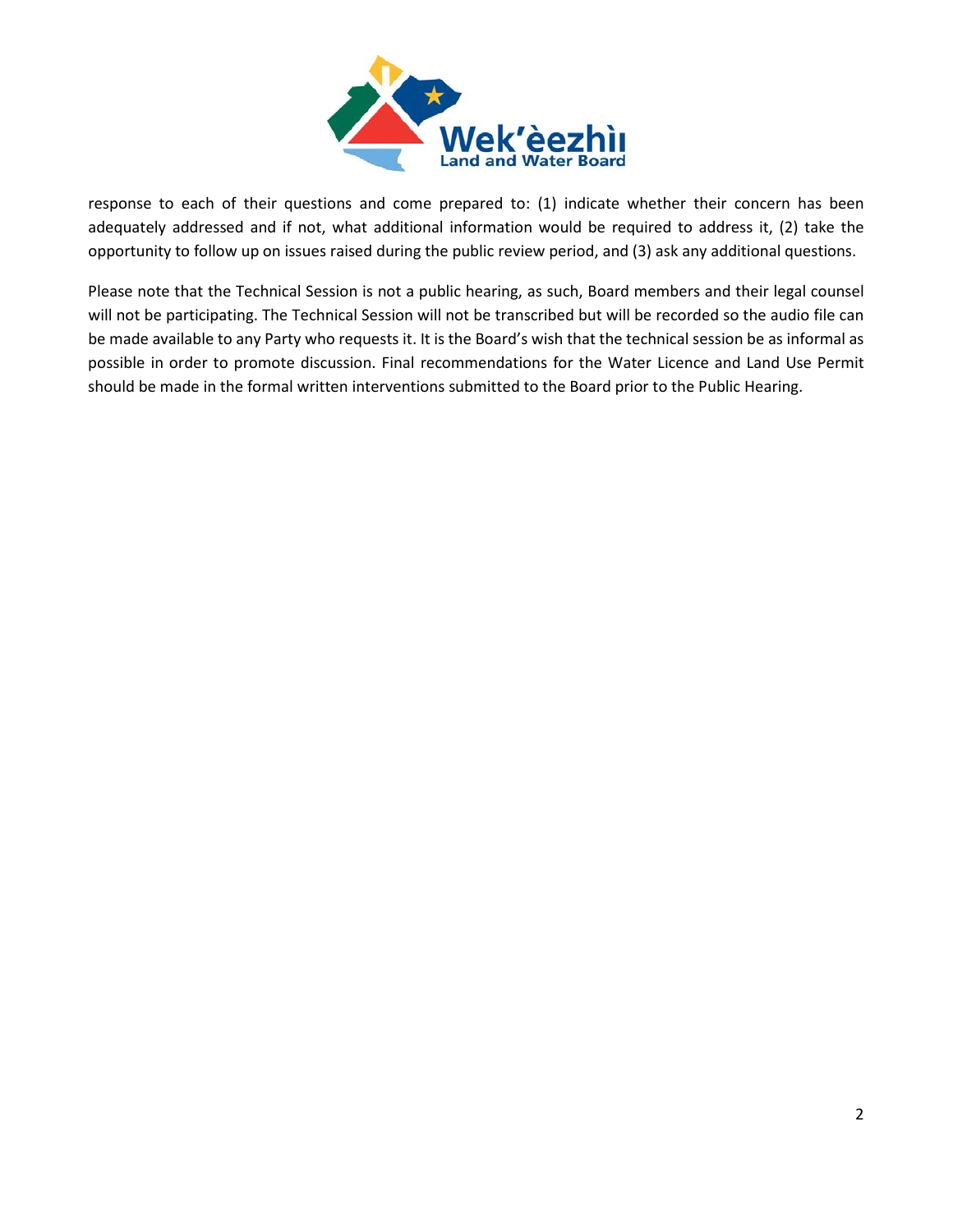

response to each of their questions and come prepared to: (1) indicate whether their concern has been adequately addressed and if not, what additional information would be required to address it, (2) take the opportunity to follow up on issues raised during the public review period, and (3) ask any additional questions.

Please note that the Technical Session is not a public hearing, as such, Board members and their legal counsel will not be participating. The Technical Session will not be transcribed but will be recorded so the audio file can be made available to any Party who requests it. It is the Board's wish that the technical session be as informal as possible in order to promote discussion. Final recommendations for the Water Licence and Land Use Permit should be made in the formal written interventions submitted to the Board prior to the Public Hearing.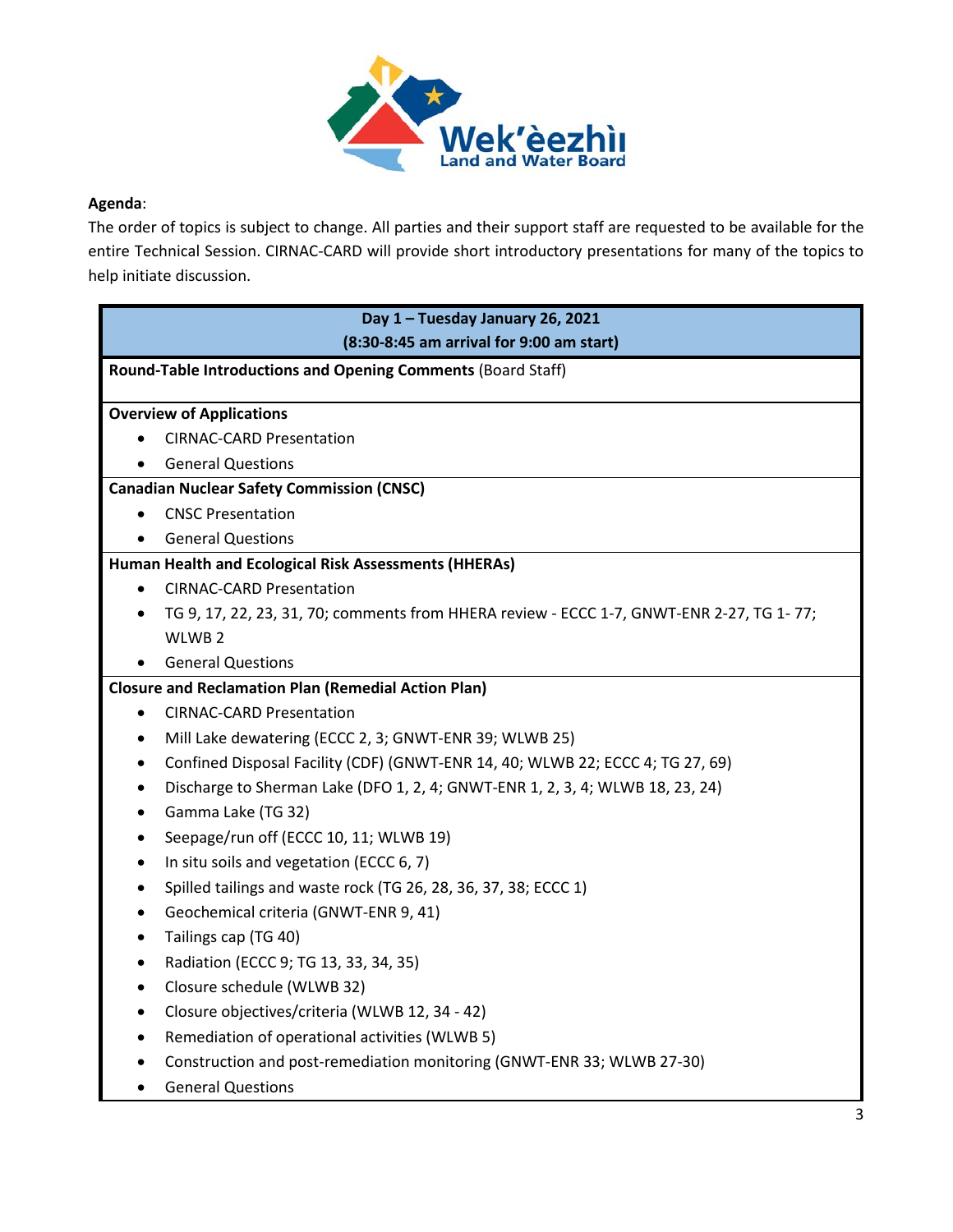

# **Agenda**:

The order of topics is subject to change. All parties and their support staff are requested to be available for the entire Technical Session. CIRNAC-CARD will provide short introductory presentations for many of the topics to help initiate discussion.

| Day 1 - Tuesday January 26, 2021                                                                      |
|-------------------------------------------------------------------------------------------------------|
| (8:30-8:45 am arrival for 9:00 am start)                                                              |
| Round-Table Introductions and Opening Comments (Board Staff)                                          |
|                                                                                                       |
| <b>Overview of Applications</b>                                                                       |
| <b>CIRNAC-CARD Presentation</b>                                                                       |
| <b>General Questions</b>                                                                              |
| <b>Canadian Nuclear Safety Commission (CNSC)</b>                                                      |
| <b>CNSC Presentation</b>                                                                              |
| <b>General Questions</b><br>$\bullet$                                                                 |
| Human Health and Ecological Risk Assessments (HHERAs)                                                 |
| <b>CIRNAC-CARD Presentation</b>                                                                       |
| TG 9, 17, 22, 23, 31, 70; comments from HHERA review - ECCC 1-7, GNWT-ENR 2-27, TG 1-77;<br>$\bullet$ |
| WLWB <sub>2</sub>                                                                                     |
| <b>General Questions</b>                                                                              |
| <b>Closure and Reclamation Plan (Remedial Action Plan)</b>                                            |
| <b>CIRNAC-CARD Presentation</b><br>$\bullet$                                                          |
| Mill Lake dewatering (ECCC 2, 3; GNWT-ENR 39; WLWB 25)<br>$\bullet$                                   |
| Confined Disposal Facility (CDF) (GNWT-ENR 14, 40; WLWB 22; ECCC 4; TG 27, 69)<br>٠                   |
| Discharge to Sherman Lake (DFO 1, 2, 4; GNWT-ENR 1, 2, 3, 4; WLWB 18, 23, 24)<br>$\bullet$            |
| Gamma Lake (TG 32)<br>$\bullet$                                                                       |
| Seepage/run off (ECCC 10, 11; WLWB 19)<br>٠                                                           |
| In situ soils and vegetation (ECCC 6, 7)<br>$\bullet$                                                 |
| Spilled tailings and waste rock (TG 26, 28, 36, 37, 38; ECCC 1)<br>٠                                  |
| Geochemical criteria (GNWT-ENR 9, 41)                                                                 |
| Tailings cap (TG 40)<br>$\bullet$                                                                     |
| Radiation (ECCC 9; TG 13, 33, 34, 35)<br>$\bullet$                                                    |
| Closure schedule (WLWB 32)<br>٠                                                                       |
| Closure objectives/criteria (WLWB 12, 34 - 42)                                                        |
| Remediation of operational activities (WLWB 5)                                                        |
| Construction and post-remediation monitoring (GNWT-ENR 33; WLWB 27-30)                                |
| <b>General Questions</b>                                                                              |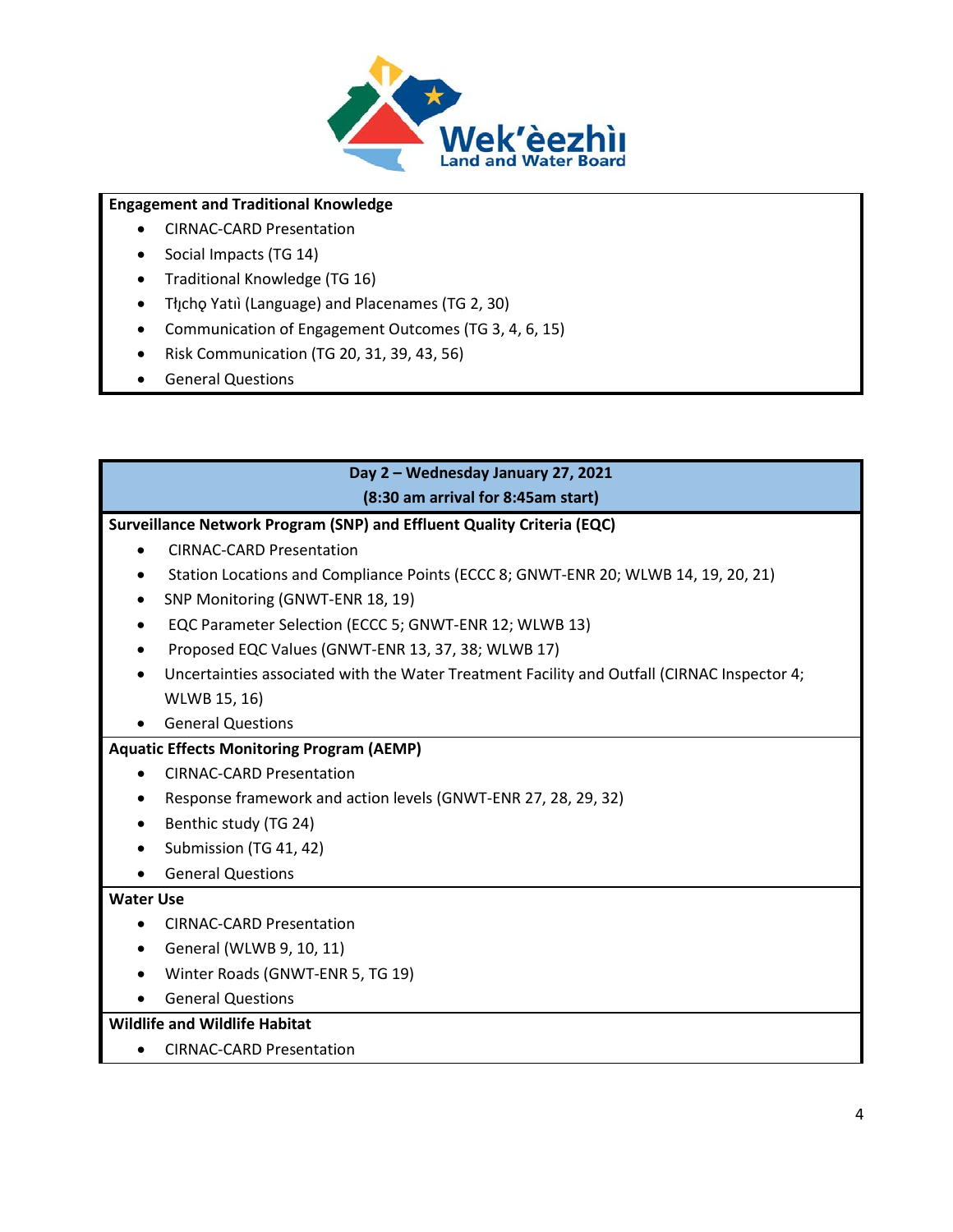

## **Engagement and Traditional Knowledge**

- CIRNAC-CARD Presentation
- Social Impacts (TG 14)
- Traditional Knowledge (TG 16)
- Tłįcho Yatıì (Language) and Placenames (TG 2, 30)
- Communication of Engagement Outcomes (TG 3, 4, 6, 15)
- Risk Communication (TG 20, 31, 39, 43, 56)
- General Questions

# **Day 2 – Wednesday January 27, 2021 (8:30 am arrival for 8:45am start)**

#### **Surveillance Network Program (SNP) and Effluent Quality Criteria (EQC)**

- CIRNAC-CARD Presentation
- Station Locations and Compliance Points (ECCC 8; GNWT-ENR 20; WLWB 14, 19, 20, 21)
- SNP Monitoring (GNWT-ENR 18, 19)
- EQC Parameter Selection (ECCC 5; GNWT-ENR 12; WLWB 13)
- Proposed EQC Values (GNWT-ENR 13, 37, 38; WLWB 17)
- Uncertainties associated with the Water Treatment Facility and Outfall (CIRNAC Inspector 4; WLWB 15, 16)
- General Questions

## **Aquatic Effects Monitoring Program (AEMP)**

- CIRNAC-CARD Presentation
- Response framework and action levels (GNWT-ENR 27, 28, 29, 32)
- Benthic study (TG 24)
- Submission (TG 41, 42)
- General Questions

## **Water Use**

- CIRNAC-CARD Presentation
- General (WLWB 9, 10, 11)
- Winter Roads (GNWT-ENR 5, TG 19)
- General Questions

## **Wildlife and Wildlife Habitat**

• CIRNAC-CARD Presentation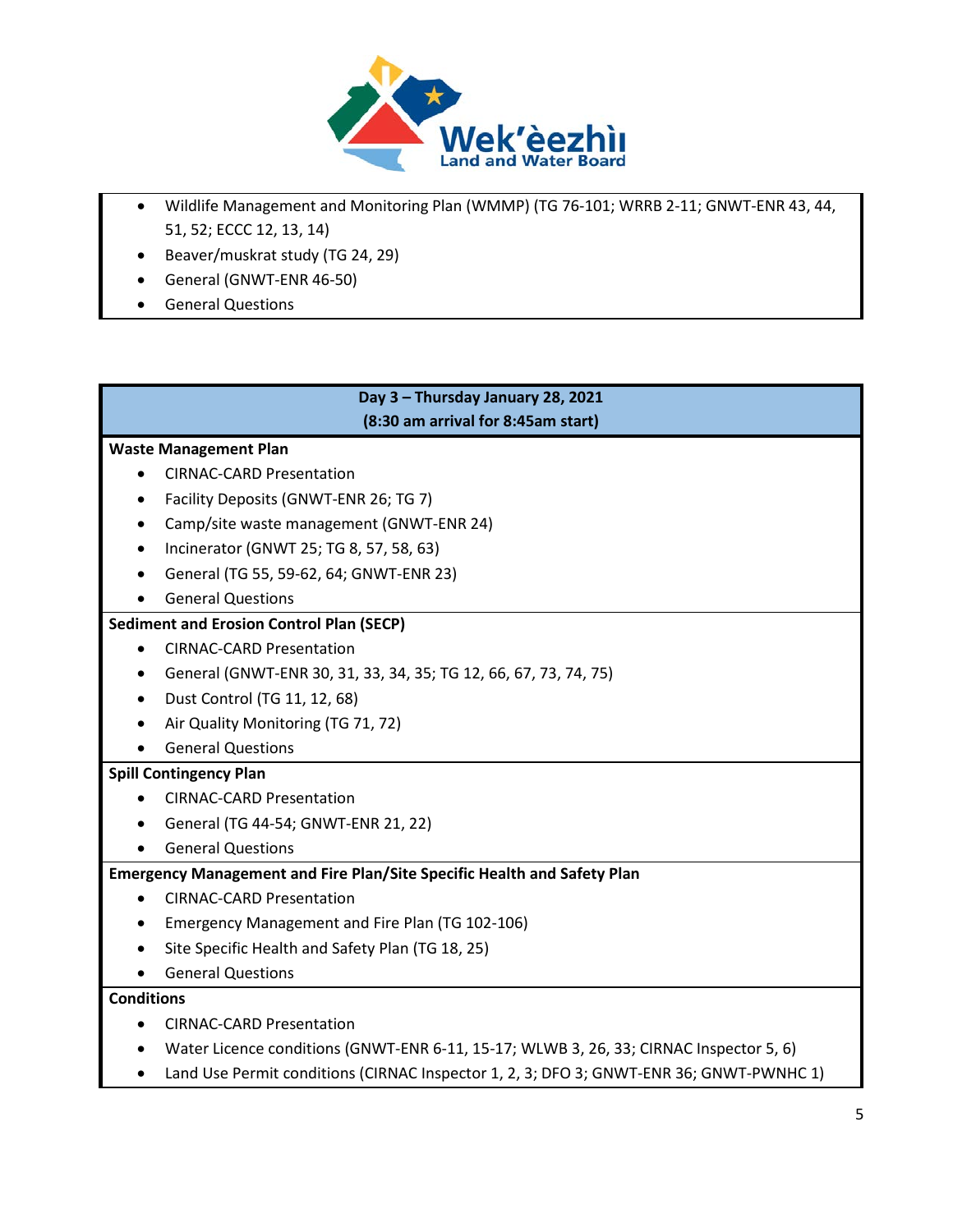

- Wildlife Management and Monitoring Plan (WMMP) (TG 76-101; WRRB 2-11; GNWT-ENR 43, 44, 51, 52; ECCC 12, 13, 14)
- Beaver/muskrat study (TG 24, 29)
- General (GNWT-ENR 46-50)
- General Questions

# **Day 3 – Thursday January 28, 2021 (8:30 am arrival for 8:45am start)**

## **Waste Management Plan**

- CIRNAC-CARD Presentation
- Facility Deposits (GNWT-ENR 26; TG 7)
- Camp/site waste management (GNWT-ENR 24)
- Incinerator (GNWT 25; TG 8, 57, 58, 63)
- General (TG 55, 59-62, 64; GNWT-ENR 23)
- General Questions

## **Sediment and Erosion Control Plan (SECP)**

- CIRNAC-CARD Presentation
- General (GNWT-ENR 30, 31, 33, 34, 35; TG 12, 66, 67, 73, 74, 75)
- Dust Control (TG 11, 12, 68)
- Air Quality Monitoring (TG 71, 72)
- General Questions

## **Spill Contingency Plan**

- CIRNAC-CARD Presentation
- General (TG 44-54; GNWT-ENR 21, 22)
- General Questions

## **Emergency Management and Fire Plan/Site Specific Health and Safety Plan**

- CIRNAC-CARD Presentation
- Emergency Management and Fire Plan (TG 102-106)
- Site Specific Health and Safety Plan (TG 18, 25)
- General Questions

#### **Conditions**

- CIRNAC-CARD Presentation
- Water Licence conditions (GNWT-ENR 6-11, 15-17; WLWB 3, 26, 33; CIRNAC Inspector 5, 6)
- Land Use Permit conditions (CIRNAC Inspector 1, 2, 3; DFO 3; GNWT-ENR 36; GNWT-PWNHC 1)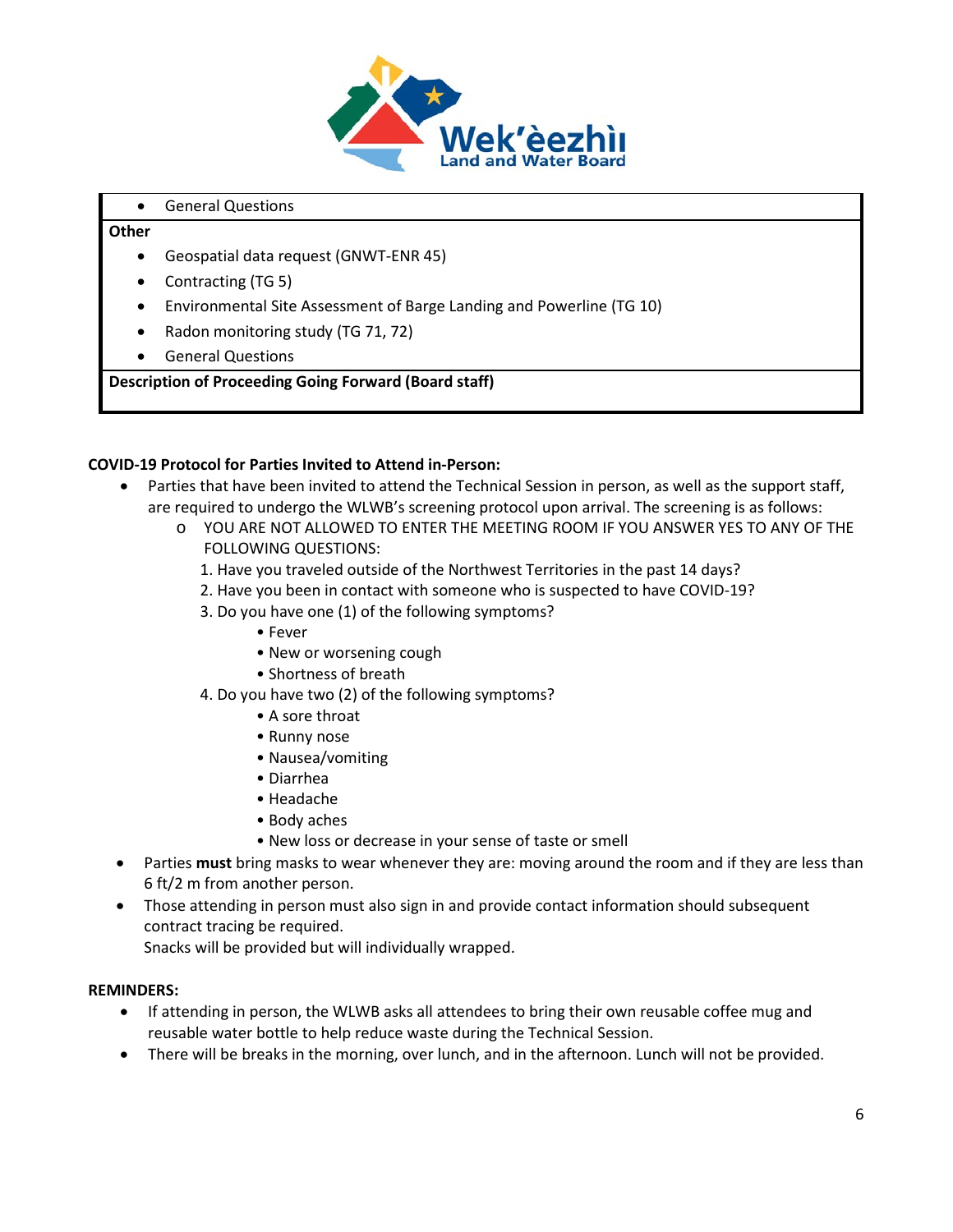

#### • General Questions

#### **Other**

- Geospatial data request (GNWT-ENR 45)
- Contracting (TG 5)
- Environmental Site Assessment of Barge Landing and Powerline (TG 10)
- Radon monitoring study (TG 71, 72)
- General Questions

## **Description of Proceeding Going Forward (Board staff)**

## **COVID-19 Protocol for Parties Invited to Attend in-Person:**

- Parties that have been invited to attend the Technical Session in person, as well as the support staff, are required to undergo the WLWB's screening protocol upon arrival. The screening is as follows:
	- o YOU ARE NOT ALLOWED TO ENTER THE MEETING ROOM IF YOU ANSWER YES TO ANY OF THE FOLLOWING QUESTIONS:
		- 1. Have you traveled outside of the Northwest Territories in the past 14 days?
		- 2. Have you been in contact with someone who is suspected to have COVID-19?
		- 3. Do you have one (1) of the following symptoms?
			- Fever
			- New or worsening cough
			- Shortness of breath
		- 4. Do you have two (2) of the following symptoms?
			- A sore throat
			- Runny nose
			- Nausea/vomiting
			- Diarrhea
			- Headache
			- Body aches
			- New loss or decrease in your sense of taste or smell
- Parties **must** bring masks to wear whenever they are: moving around the room and if they are less than 6 ft/2 m from another person.
- Those attending in person must also sign in and provide contact information should subsequent contract tracing be required.

Snacks will be provided but will individually wrapped.

## **REMINDERS:**

- If attending in person, the WLWB asks all attendees to bring their own reusable coffee mug and reusable water bottle to help reduce waste during the Technical Session.
- There will be breaks in the morning, over lunch, and in the afternoon. Lunch will not be provided.